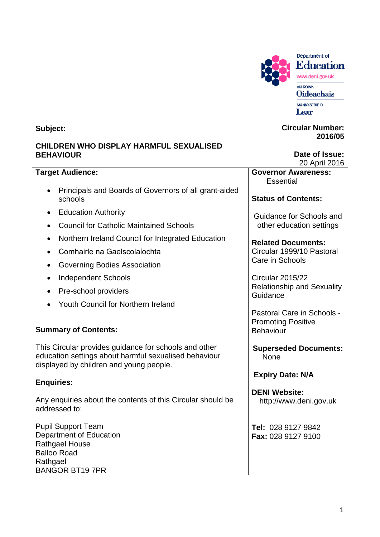

Department of **Education** www.deni.gov.uk AN ROINN **Oideachais** 

MÄNNYSTRIE D Lear

#### **Circular Number: 2016/05**

**Date of Issue:** 20 April 2016

**Governor Awareness: Essential** 

**Status of Contents:**

Guidance for Schools and other education settings

**Related Documents:** Circular 1999/10 Pastoral Care in Schools

Circular 2015/22 Relationship and Sexuality **Guidance** 

Pastoral Care in Schools - Promoting Positive **Behaviour** 

**Superseded Documents:** None

**Expiry Date: N/A**

**DENI Website:** http://www.deni.gov.uk

**Tel:** 028 9127 9842 **Fax:** 028 9127 9100

**Subject:**

# **CHILDREN WHO DISPLAY HARMFUL SEXUALISED BEHAVIOUR**

# **Target Audience:**

- Principals and Boards of Governors of all grant-aided schools
- Education Authority
- Council for Catholic Maintained Schools
- Northern Ireland Council for Integrated Education
- Comhairle na Gaelscolaίochta
- Governing Bodies Association
- Independent Schools
- Pre-school providers
- Youth Council for Northern Ireland

# **Summary of Contents:**

This Circular provides guidance for schools and other education settings about harmful sexualised behaviour displayed by children and young people.

# **Enquiries:**

Any enquiries about the contents of this Circular should be addressed to:

Pupil Support Team Department of Education Rathgael House Balloo Road **Rathgael** BANGOR BT19 7PR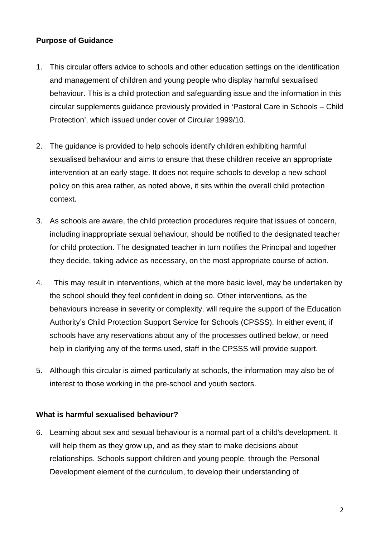### **Purpose of Guidance**

- 1. This circular offers advice to schools and other education settings on the identification and management of children and young people who display harmful sexualised behaviour. This is a child protection and safeguarding issue and the information in this circular supplements guidance previously provided in 'Pastoral Care in Schools – Child Protection', which issued under cover of Circular 1999/10.
- 2. The guidance is provided to help schools identify children exhibiting harmful sexualised behaviour and aims to ensure that these children receive an appropriate intervention at an early stage. It does not require schools to develop a new school policy on this area rather, as noted above, it sits within the overall child protection context.
- 3. As schools are aware, the child protection procedures require that issues of concern, including inappropriate sexual behaviour, should be notified to the designated teacher for child protection. The designated teacher in turn notifies the Principal and together they decide, taking advice as necessary, on the most appropriate course of action.
- 4. This may result in interventions, which at the more basic level, may be undertaken by the school should they feel confident in doing so. Other interventions, as the behaviours increase in severity or complexity, will require the support of the Education Authority's Child Protection Support Service for Schools (CPSSS). In either event, if schools have any reservations about any of the processes outlined below, or need help in clarifying any of the terms used, staff in the CPSSS will provide support.
- 5. Although this circular is aimed particularly at schools, the information may also be of interest to those working in the pre-school and youth sectors.

#### **What is harmful sexualised behaviour?**

6. Learning about sex and sexual behaviour is a normal part of a child's development. It will help them as they grow up, and as they start to make decisions about relationships. Schools support children and young people, through the Personal Development element of the curriculum, to develop their understanding of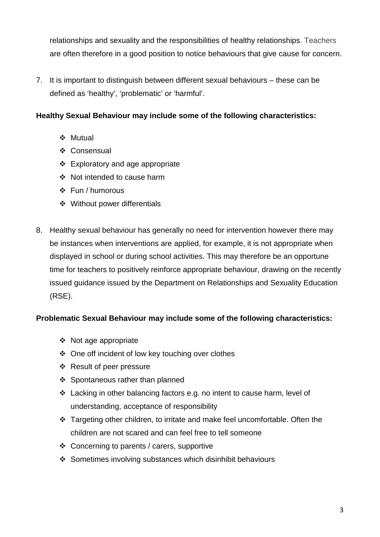relationships and sexuality and the responsibilities of healthy relationships. Teachers are often therefore in a good position to notice behaviours that give cause for concern.

7. It is important to distinguish between different sexual behaviours – these can be defined as 'healthy', 'problematic' or 'harmful'.

## **Healthy Sexual Behaviour may include some of the following characteristics:**

- ❖ Mutual
- ❖ Consensual
- $\div$  Exploratory and age appropriate
- ❖ Not intended to cause harm
- $\div$  Fun / humorous
- Without power differentials
- 8. Healthy sexual behaviour has generally no need for intervention however there may be instances when interventions are applied, for example, it is not appropriate when displayed in school or during school activities. This may therefore be an opportune time for teachers to positively reinforce appropriate behaviour, drawing on the recently issued guidance issued by the Department on Relationships and Sexuality Education (RSE).

#### **Problematic Sexual Behaviour may include some of the following characteristics:**

- Not age appropriate
- One off incident of low key touching over clothes
- ❖ Result of peer pressure
- ❖ Spontaneous rather than planned
- Lacking in other balancing factors e.g. no intent to cause harm, level of understanding, acceptance of responsibility
- Targeting other children, to irritate and make feel uncomfortable. Often the children are not scared and can feel free to tell someone
- Concerning to parents / carers, supportive
- Sometimes involving substances which disinhibit behaviours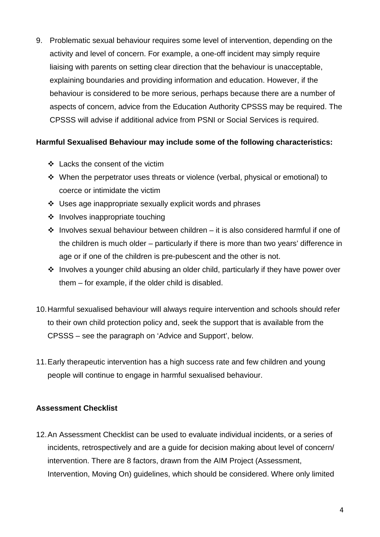9. Problematic sexual behaviour requires some level of intervention, depending on the activity and level of concern. For example, a one-off incident may simply require liaising with parents on setting clear direction that the behaviour is unacceptable, explaining boundaries and providing information and education. However, if the behaviour is considered to be more serious, perhaps because there are a number of aspects of concern, advice from the Education Authority CPSSS may be required. The CPSSS will advise if additional advice from PSNI or Social Services is required.

#### **Harmful Sexualised Behaviour may include some of the following characteristics:**

- Lacks the consent of the victim
- $\div$  When the perpetrator uses threats or violence (verbal, physical or emotional) to coerce or intimidate the victim
- $\div$  Uses age inappropriate sexually explicit words and phrases
- $\div$  Involves inappropriate touching
- $\cdot \cdot$  Involves sexual behaviour between children it is also considered harmful if one of the children is much older – particularly if there is more than two years' difference in age or if one of the children is pre-pubescent and the other is not.
- $\cdot$  Involves a younger child abusing an older child, particularly if they have power over them – for example, if the older child is disabled.
- 10.Harmful sexualised behaviour will always require intervention and schools should refer to their own child protection policy and, seek the support that is available from the CPSSS – see the paragraph on 'Advice and Support', below.
- 11.Early therapeutic intervention has a high success rate and few children and young people will continue to engage in harmful sexualised behaviour.

#### **Assessment Checklist**

12.An Assessment Checklist can be used to evaluate individual incidents, or a series of incidents, retrospectively and are a guide for decision making about level of concern/ intervention. There are 8 factors, drawn from the AIM Project (Assessment, Intervention, Moving On) guidelines, which should be considered. Where only limited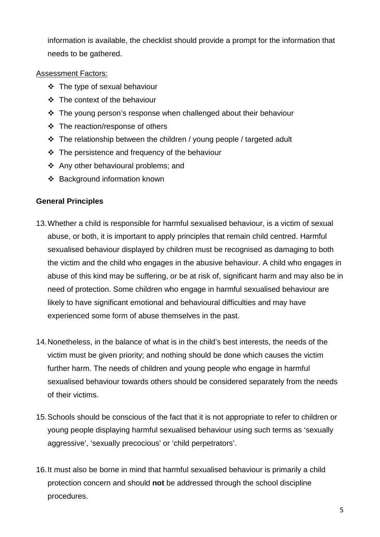information is available, the checklist should provide a prompt for the information that needs to be gathered.

#### Assessment Factors:

- $\div$  The type of sexual behaviour
- The context of the behaviour
- The young person's response when challenged about their behaviour
- The reaction/response of others
- The relationship between the children / young people / targeted adult
- $\div$  The persistence and frequency of the behaviour
- Any other behavioural problems; and
- ❖ Background information known

## **General Principles**

- 13.Whether a child is responsible for harmful sexualised behaviour, is a victim of sexual abuse, or both, it is important to apply principles that remain child centred. Harmful sexualised behaviour displayed by children must be recognised as damaging to both the victim and the child who engages in the abusive behaviour. A child who engages in abuse of this kind may be suffering, or be at risk of, significant harm and may also be in need of protection. Some children who engage in harmful sexualised behaviour are likely to have significant emotional and behavioural difficulties and may have experienced some form of abuse themselves in the past.
- 14.Nonetheless, in the balance of what is in the child's best interests, the needs of the victim must be given priority; and nothing should be done which causes the victim further harm. The needs of children and young people who engage in harmful sexualised behaviour towards others should be considered separately from the needs of their victims.
- 15.Schools should be conscious of the fact that it is not appropriate to refer to children or young people displaying harmful sexualised behaviour using such terms as 'sexually aggressive', 'sexually precocious' or 'child perpetrators'.
- 16.It must also be borne in mind that harmful sexualised behaviour is primarily a child protection concern and should **not** be addressed through the school discipline procedures.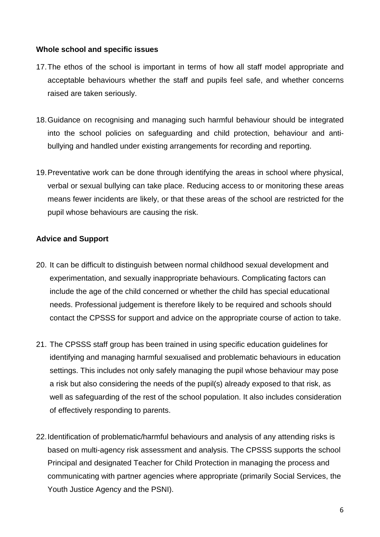#### **Whole school and specific issues**

- 17.The ethos of the school is important in terms of how all staff model appropriate and acceptable behaviours whether the staff and pupils feel safe, and whether concerns raised are taken seriously.
- 18.Guidance on recognising and managing such harmful behaviour should be integrated into the school policies on safeguarding and child protection, behaviour and antibullying and handled under existing arrangements for recording and reporting.
- 19.Preventative work can be done through identifying the areas in school where physical, verbal or sexual bullying can take place. Reducing access to or monitoring these areas means fewer incidents are likely, or that these areas of the school are restricted for the pupil whose behaviours are causing the risk.

#### **Advice and Support**

- 20. It can be difficult to distinguish between normal childhood sexual development and experimentation, and sexually inappropriate behaviours. Complicating factors can include the age of the child concerned or whether the child has special educational needs. Professional judgement is therefore likely to be required and schools should contact the CPSSS for support and advice on the appropriate course of action to take.
- 21. The CPSSS staff group has been trained in using specific education guidelines for identifying and managing harmful sexualised and problematic behaviours in education settings. This includes not only safely managing the pupil whose behaviour may pose a risk but also considering the needs of the pupil(s) already exposed to that risk, as well as safeguarding of the rest of the school population. It also includes consideration of effectively responding to parents.
- 22.Identification of problematic/harmful behaviours and analysis of any attending risks is based on multi-agency risk assessment and analysis. The CPSSS supports the school Principal and designated Teacher for Child Protection in managing the process and communicating with partner agencies where appropriate (primarily Social Services, the Youth Justice Agency and the PSNI).